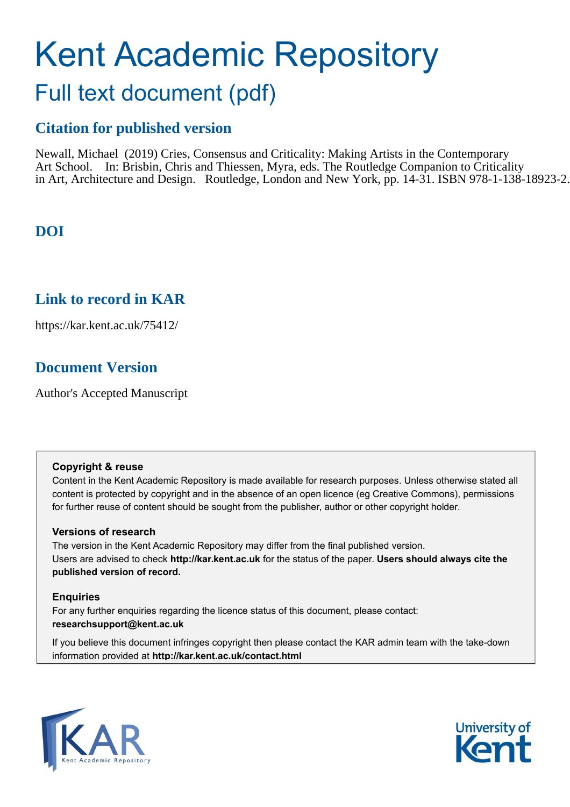# Kent Academic Repository Full text document (pdf)

# **Citation for published version**

Newall, Michael (2019) Cries, Consensus and Criticality: Making Artists in the Contemporary Art School. In: Brisbin, Chris and Thiessen, Myra, eds. The Routledge Companion to Criticality in Art, Architecture and Design. Routledge, London and New York, pp. 14-31. ISBN 978-1-138-18923-2.

# **DOI**

## **Link to record in KAR**

https://kar.kent.ac.uk/75412/

# **Document Version**

Author's Accepted Manuscript

#### **Copyright & reuse**

Content in the Kent Academic Repository is made available for research purposes. Unless otherwise stated all content is protected by copyright and in the absence of an open licence (eg Creative Commons), permissions for further reuse of content should be sought from the publisher, author or other copyright holder.

#### **Versions of research**

The version in the Kent Academic Repository may differ from the final published version. Users are advised to check **http://kar.kent.ac.uk** for the status of the paper. **Users should always cite the published version of record.**

#### **Enquiries**

For any further enquiries regarding the licence status of this document, please contact: **researchsupport@kent.ac.uk**

If you believe this document infringes copyright then please contact the KAR admin team with the take-down information provided at **http://kar.kent.ac.uk/contact.html**



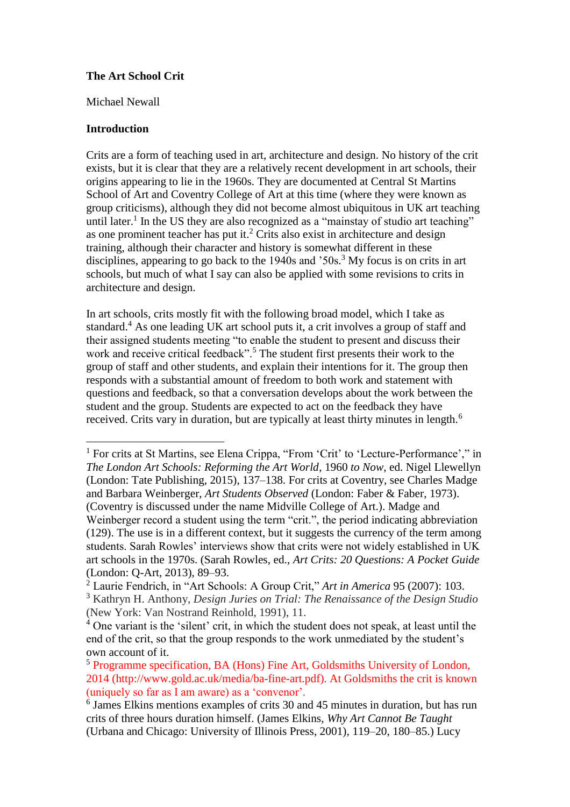#### **The Art School Crit**

Michael Newall

#### **Introduction**

 $\overline{a}$ 

Crits are a form of teaching used in art, architecture and design. No history of the crit exists, but it is clear that they are a relatively recent development in art schools, their origins appearing to lie in the 1960s. They are documented at Central St Martins School of Art and Coventry College of Art at this time (where they were known as group criticisms), although they did not become almost ubiquitous in UK art teaching until later.<sup>1</sup> In the US they are also recognized as a "mainstay of studio art teaching" as one prominent teacher has put it.<sup>2</sup> Crits also exist in architecture and design training, although their character and history is somewhat different in these disciplines, appearing to go back to the  $1940s$  and '50s.<sup>3</sup> My focus is on crits in art schools, but much of what I say can also be applied with some revisions to crits in architecture and design.

In art schools, crits mostly fit with the following broad model, which I take as standard.<sup>4</sup> As one leading UK art school puts it, a crit involves a group of staff and their assigned students meeting "to enable the student to present and discuss their work and receive critical feedback".<sup>5</sup> The student first presents their work to the group of staff and other students, and explain their intentions for it. The group then responds with a substantial amount of freedom to both work and statement with questions and feedback, so that a conversation develops about the work between the student and the group. Students are expected to act on the feedback they have received. Crits vary in duration, but are typically at least thirty minutes in length.<sup>6</sup>

<sup>&</sup>lt;sup>1</sup> For crits at St Martins, see Elena Crippa, "From 'Crit' to 'Lecture-Performance'," in *The London Art Schools: Reforming the Art World*, 1960 *to Now*, ed. Nigel Llewellyn (London: Tate Publishing, 2015), 137–138. For crits at Coventry, see Charles Madge and Barbara Weinberger, *Art Students Observed* (London: Faber & Faber, 1973). (Coventry is discussed under the name Midville College of Art.). Madge and Weinberger record a student using the term "crit.", the period indicating abbreviation (129). The use is in a different context, but it suggests the currency of the term among students. Sarah Rowles' interviews show that crits were not widely established in UK art schools in the 1970s. (Sarah Rowles, ed., *Art Crits: 20 Questions: A Pocket Guide* (London: Q-Art, 2013), 89–93.

<sup>2</sup> Laurie Fendrich, in "Art Schools: A Group Crit," *Art in America* 95 (2007): 103.

<sup>3</sup> Kathryn H. Anthony, *Design Juries on Trial: The Renaissance of the Design Studio* (New York: Van Nostrand Reinhold, 1991), 11.

<sup>4</sup> One variant is the 'silent' crit, in which the student does not speak, at least until the end of the crit, so that the group responds to the work unmediated by the student's own account of it.

<sup>5</sup> Programme specification, BA (Hons) Fine Art, Goldsmiths University of London, 2014 (http://www.gold.ac.uk/media/ba-fine-art.pdf). At Goldsmiths the crit is known (uniquely so far as I am aware) as a 'convenor'.

<sup>6</sup> James Elkins mentions examples of crits 30 and 45 minutes in duration, but has run crits of three hours duration himself. (James Elkins, *Why Art Cannot Be Taught* (Urbana and Chicago: University of Illinois Press, 2001), 119–20, 180–85.) Lucy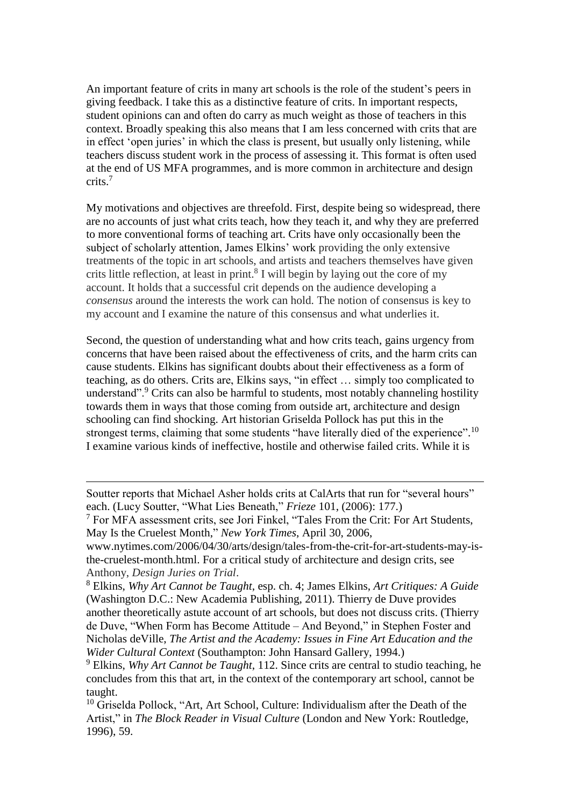An important feature of crits in many art schools is the role of the student's peers in giving feedback. I take this as a distinctive feature of crits. In important respects, student opinions can and often do carry as much weight as those of teachers in this context. Broadly speaking this also means that I am less concerned with crits that are in effect 'open juries' in which the class is present, but usually only listening, while teachers discuss student work in the process of assessing it. This format is often used at the end of US MFA programmes, and is more common in architecture and design crits. 7

My motivations and objectives are threefold. First, despite being so widespread, there are no accounts of just what crits teach, how they teach it, and why they are preferred to more conventional forms of teaching art. Crits have only occasionally been the subject of scholarly attention, James Elkins' work providing the only extensive treatments of the topic in art schools, and artists and teachers themselves have given crits little reflection, at least in print.<sup>8</sup> I will begin by laying out the core of my account. It holds that a successful crit depends on the audience developing a *consensus* around the interests the work can hold. The notion of consensus is key to my account and I examine the nature of this consensus and what underlies it.

Second, the question of understanding what and how crits teach, gains urgency from concerns that have been raised about the effectiveness of crits, and the harm crits can cause students. Elkins has significant doubts about their effectiveness as a form of teaching, as do others. Crits are, Elkins says, "in effect … simply too complicated to understand".<sup>9</sup> Crits can also be harmful to students, most notably channeling hostility towards them in ways that those coming from outside art, architecture and design schooling can find shocking. Art historian Griselda Pollock has put this in the strongest terms, claiming that some students "have literally died of the experience".<sup>10</sup> I examine various kinds of ineffective, hostile and otherwise failed crits. While it is

 $\overline{a}$ 

www.nytimes.com/2006/04/30/arts/design/tales-from-the-crit-for-art-students-may-isthe-cruelest-month.html. For a critical study of architecture and design crits, see Anthony, *Design Juries on Trial*.

Soutter reports that Michael Asher holds crits at CalArts that run for "several hours" each. (Lucy Soutter, "What Lies Beneath," *Frieze* 101, (2006): 177.)

 $<sup>7</sup>$  For MFA assessment crits, see Jori Finkel, "Tales From the Crit: For Art Students,</sup> May Is the Cruelest Month," *New York Times*, April 30, 2006,

<sup>8</sup> Elkins, *Why Art Cannot be Taught*, esp. ch. 4; James Elkins, *Art Critiques: A Guide* (Washington D.C.: New Academia Publishing, 2011). Thierry de Duve provides another theoretically astute account of art schools, but does not discuss crits. (Thierry de Duve, "When Form has Become Attitude – And Beyond," in Stephen Foster and Nicholas deVille, *The Artist and the Academy: Issues in Fine Art Education and the Wider Cultural Context* (Southampton: John Hansard Gallery, 1994.)

<sup>9</sup> Elkins, *Why Art Cannot be Taught*, 112. Since crits are central to studio teaching, he concludes from this that art, in the context of the contemporary art school, cannot be taught.

<sup>&</sup>lt;sup>10</sup> Griselda Pollock, "Art, Art School, Culture: Individualism after the Death of the Artist," in *The Block Reader in Visual Culture* (London and New York: Routledge, 1996), 59.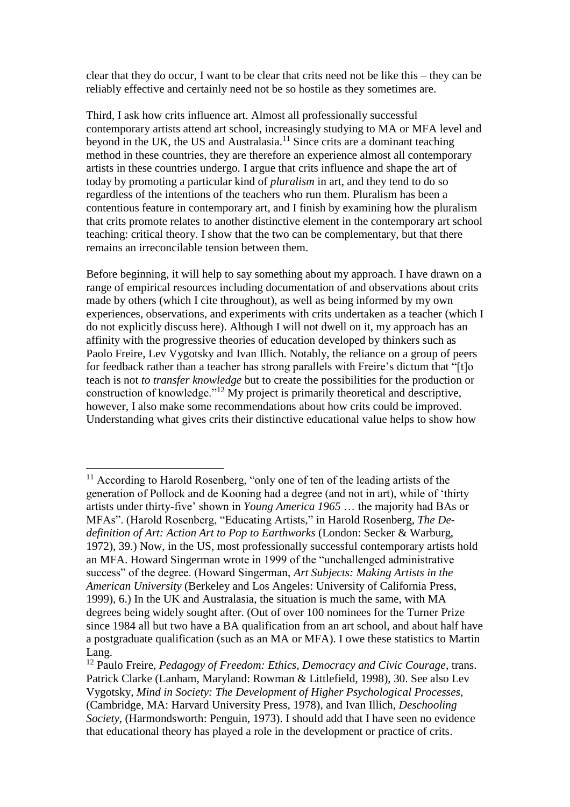clear that they do occur, I want to be clear that crits need not be like this – they can be reliably effective and certainly need not be so hostile as they sometimes are.

Third, I ask how crits influence art. Almost all professionally successful contemporary artists attend art school, increasingly studying to MA or MFA level and beyond in the UK, the US and Australasia.<sup>11</sup> Since crits are a dominant teaching method in these countries, they are therefore an experience almost all contemporary artists in these countries undergo. I argue that crits influence and shape the art of today by promoting a particular kind of *pluralism* in art, and they tend to do so regardless of the intentions of the teachers who run them. Pluralism has been a contentious feature in contemporary art, and I finish by examining how the pluralism that crits promote relates to another distinctive element in the contemporary art school teaching: critical theory. I show that the two can be complementary, but that there remains an irreconcilable tension between them.

Before beginning, it will help to say something about my approach. I have drawn on a range of empirical resources including documentation of and observations about crits made by others (which I cite throughout), as well as being informed by my own experiences, observations, and experiments with crits undertaken as a teacher (which I do not explicitly discuss here). Although I will not dwell on it, my approach has an affinity with the progressive theories of education developed by thinkers such as Paolo Freire, Lev Vygotsky and Ivan Illich. Notably, the reliance on a group of peers for feedback rather than a teacher has strong parallels with Freire's dictum that "[t]o teach is not *to transfer knowledge* but to create the possibilities for the production or construction of knowledge."<sup>12</sup> My project is primarily theoretical and descriptive, however, I also make some recommendations about how crits could be improved. Understanding what gives crits their distinctive educational value helps to show how

<sup>&</sup>lt;sup>11</sup> According to Harold Rosenberg, "only one of ten of the leading artists of the generation of Pollock and de Kooning had a degree (and not in art), while of 'thirty artists under thirty-five' shown in *Young America 1965* … the majority had BAs or MFAs". (Harold Rosenberg, "Educating Artists," in Harold Rosenberg, *The Dedefinition of Art: Action Art to Pop to Earthworks* (London: Secker & Warburg, 1972), 39.) Now, in the US, most professionally successful contemporary artists hold an MFA. Howard Singerman wrote in 1999 of the "unchallenged administrative success" of the degree. (Howard Singerman, *Art Subjects: Making Artists in the American University* (Berkeley and Los Angeles: University of California Press, 1999), 6.) In the UK and Australasia, the situation is much the same, with MA degrees being widely sought after. (Out of over 100 nominees for the Turner Prize since 1984 all but two have a BA qualification from an art school, and about half have a postgraduate qualification (such as an MA or MFA). I owe these statistics to Martin Lang.

<sup>12</sup> Paulo Freire, *Pedagogy of Freedom: Ethics, Democracy and Civic Courage*, trans. Patrick Clarke (Lanham, Maryland: Rowman & Littlefield, 1998), 30. See also Lev Vygotsky, *Mind in Society: The Development of Higher Psychological Processes*, (Cambridge, MA: Harvard University Press, 1978), and Ivan Illich, *Deschooling Society*, (Harmondsworth: Penguin, 1973). I should add that I have seen no evidence that educational theory has played a role in the development or practice of crits.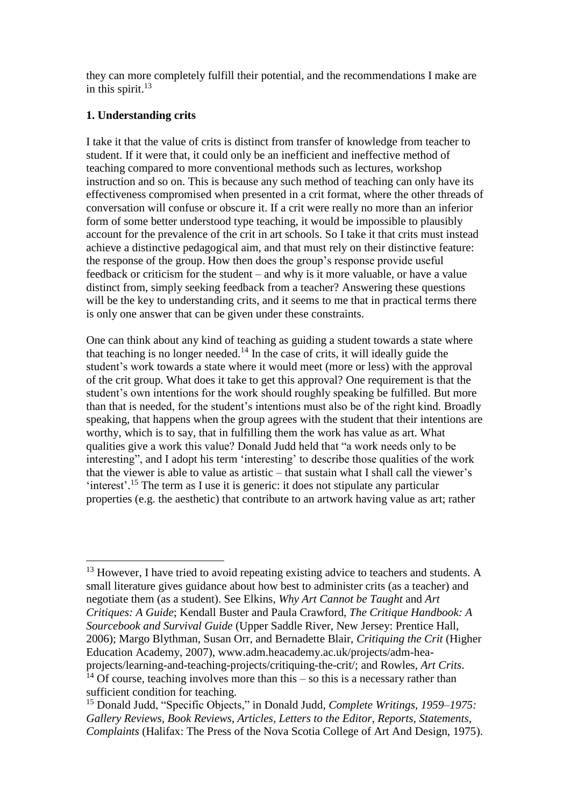they can more completely fulfill their potential, and the recommendations I make are in this spirit. 13

#### **1. Understanding crits**

I take it that the value of crits is distinct from transfer of knowledge from teacher to student. If it were that, it could only be an inefficient and ineffective method of teaching compared to more conventional methods such as lectures, workshop instruction and so on. This is because any such method of teaching can only have its effectiveness compromised when presented in a crit format, where the other threads of conversation will confuse or obscure it. If a crit were really no more than an inferior form of some better understood type teaching, it would be impossible to plausibly account for the prevalence of the crit in art schools. So I take it that crits must instead achieve a distinctive pedagogical aim, and that must rely on their distinctive feature: the response of the group. How then does the group's response provide useful feedback or criticism for the student – and why is it more valuable, or have a value distinct from, simply seeking feedback from a teacher? Answering these questions will be the key to understanding crits, and it seems to me that in practical terms there is only one answer that can be given under these constraints.

One can think about any kind of teaching as guiding a student towards a state where that teaching is no longer needed.<sup>14</sup> In the case of crits, it will ideally guide the student's work towards a state where it would meet (more or less) with the approval of the crit group. What does it take to get this approval? One requirement is that the student's own intentions for the work should roughly speaking be fulfilled. But more than that is needed, for the student's intentions must also be of the right kind. Broadly speaking, that happens when the group agrees with the student that their intentions are worthy, which is to say, that in fulfilling them the work has value as art. What qualities give a work this value? Donald Judd held that "a work needs only to be interesting", and I adopt his term 'interesting' to describe those qualities of the work that the viewer is able to value as artistic – that sustain what I shall call the viewer's 'interest'.<sup>15</sup> The term as I use it is generic: it does not stipulate any particular properties (e.g. the aesthetic) that contribute to an artwork having value as art; rather

<sup>&</sup>lt;sup>13</sup> However, I have tried to avoid repeating existing advice to teachers and students. A small literature gives guidance about how best to administer crits (as a teacher) and negotiate them (as a student). See Elkins, *Why Art Cannot be Taught* and *Art Critiques: A Guide*; Kendall Buster and Paula Crawford, *The Critique Handbook: A Sourcebook and Survival Guide* (Upper Saddle River, New Jersey: Prentice Hall, 2006); Margo Blythman, Susan Orr, and Bernadette Blair, *Critiquing the Crit* (Higher Education Academy, 2007), www.adm.heacademy.ac.uk/projects/adm-heaprojects/learning-and-teaching-projects/critiquing-the-crit/; and Rowles, *Art Crits*. <sup>14</sup> Of course, teaching involves more than this – so this is a necessary rather than

sufficient condition for teaching.

<sup>15</sup> Donald Judd, "Specific Objects," in Donald Judd, *Complete Writings, 1959–1975: Gallery Reviews, Book Reviews, Articles, Letters to the Editor, Reports, Statements, Complaints* (Halifax: The Press of the Nova Scotia College of Art And Design, 1975).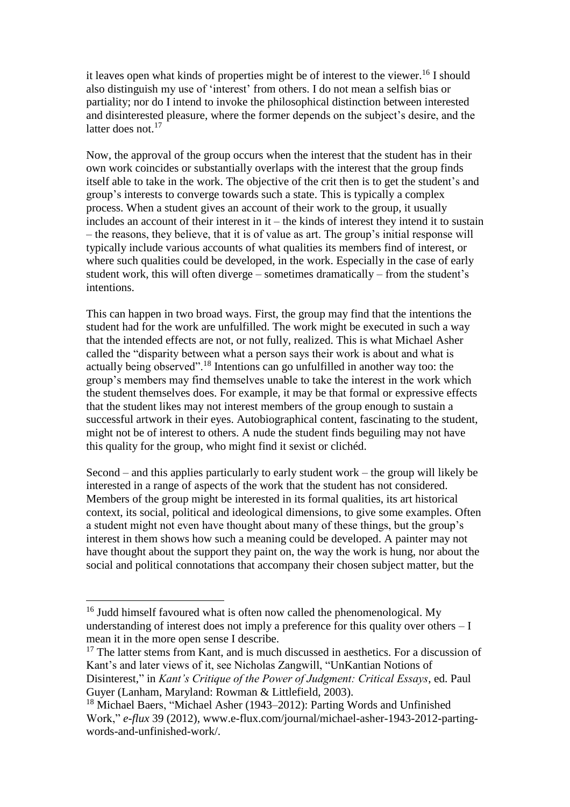it leaves open what kinds of properties might be of interest to the viewer. <sup>16</sup> I should also distinguish my use of 'interest' from others. I do not mean a selfish bias or partiality; nor do I intend to invoke the philosophical distinction between interested and disinterested pleasure, where the former depends on the subject's desire, and the latter does not.<sup>17</sup>

Now, the approval of the group occurs when the interest that the student has in their own work coincides or substantially overlaps with the interest that the group finds itself able to take in the work. The objective of the crit then is to get the student's and group's interests to converge towards such a state. This is typically a complex process. When a student gives an account of their work to the group, it usually includes an account of their interest in it – the kinds of interest they intend it to sustain – the reasons, they believe, that it is of value as art. The group's initial response will typically include various accounts of what qualities its members find of interest, or where such qualities could be developed, in the work. Especially in the case of early student work, this will often diverge – sometimes dramatically – from the student's intentions.

This can happen in two broad ways. First, the group may find that the intentions the student had for the work are unfulfilled. The work might be executed in such a way that the intended effects are not, or not fully, realized. This is what Michael Asher called the "disparity between what a person says their work is about and what is actually being observed".<sup>18</sup> Intentions can go unfulfilled in another way too: the group's members may find themselves unable to take the interest in the work which the student themselves does. For example, it may be that formal or expressive effects that the student likes may not interest members of the group enough to sustain a successful artwork in their eyes. Autobiographical content, fascinating to the student, might not be of interest to others. A nude the student finds beguiling may not have this quality for the group, who might find it sexist or clichéd.

Second – and this applies particularly to early student work – the group will likely be interested in a range of aspects of the work that the student has not considered. Members of the group might be interested in its formal qualities, its art historical context, its social, political and ideological dimensions, to give some examples. Often a student might not even have thought about many of these things, but the group's interest in them shows how such a meaning could be developed. A painter may not have thought about the support they paint on, the way the work is hung, nor about the social and political connotations that accompany their chosen subject matter, but the

<sup>&</sup>lt;sup>16</sup> Judd himself favoured what is often now called the phenomenological. My understanding of interest does not imply a preference for this quality over others  $-1$ mean it in the more open sense I describe.

<sup>&</sup>lt;sup>17</sup> The latter stems from Kant, and is much discussed in aesthetics. For a discussion of Kant's and later views of it, see Nicholas Zangwill, "UnKantian Notions of Disinterest," in *Kant's Critique of the Power of Judgment: Critical Essays*, ed. Paul Guyer (Lanham, Maryland: Rowman & Littlefield, 2003).

<sup>18</sup> Michael Baers, "Michael Asher (1943–2012): Parting Words and Unfinished Work," *e-flux* 39 (2012), www.e-flux.com/journal/michael-asher-1943-2012-partingwords-and-unfinished-work/.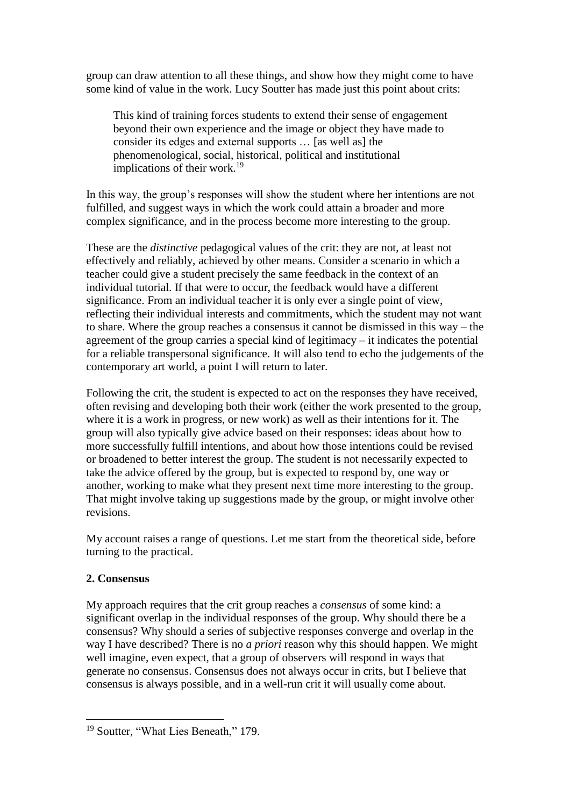group can draw attention to all these things, and show how they might come to have some kind of value in the work. Lucy Soutter has made just this point about crits:

This kind of training forces students to extend their sense of engagement beyond their own experience and the image or object they have made to consider its edges and external supports … [as well as] the phenomenological, social, historical, political and institutional implications of their work.<sup>19</sup>

In this way, the group's responses will show the student where her intentions are not fulfilled, and suggest ways in which the work could attain a broader and more complex significance, and in the process become more interesting to the group.

These are the *distinctive* pedagogical values of the crit: they are not, at least not effectively and reliably, achieved by other means. Consider a scenario in which a teacher could give a student precisely the same feedback in the context of an individual tutorial. If that were to occur, the feedback would have a different significance. From an individual teacher it is only ever a single point of view, reflecting their individual interests and commitments, which the student may not want to share. Where the group reaches a consensus it cannot be dismissed in this way – the agreement of the group carries a special kind of legitimacy – it indicates the potential for a reliable transpersonal significance. It will also tend to echo the judgements of the contemporary art world, a point I will return to later.

Following the crit, the student is expected to act on the responses they have received, often revising and developing both their work (either the work presented to the group, where it is a work in progress, or new work) as well as their intentions for it. The group will also typically give advice based on their responses: ideas about how to more successfully fulfill intentions, and about how those intentions could be revised or broadened to better interest the group. The student is not necessarily expected to take the advice offered by the group, but is expected to respond by, one way or another, working to make what they present next time more interesting to the group. That might involve taking up suggestions made by the group, or might involve other revisions.

My account raises a range of questions. Let me start from the theoretical side, before turning to the practical.

### **2. Consensus**

 $\overline{a}$ 

My approach requires that the crit group reaches a *consensus* of some kind: a significant overlap in the individual responses of the group. Why should there be a consensus? Why should a series of subjective responses converge and overlap in the way I have described? There is no *a priori* reason why this should happen. We might well imagine, even expect, that a group of observers will respond in ways that generate no consensus. Consensus does not always occur in crits, but I believe that consensus is always possible, and in a well-run crit it will usually come about.

<sup>&</sup>lt;sup>19</sup> Soutter, "What Lies Beneath," 179.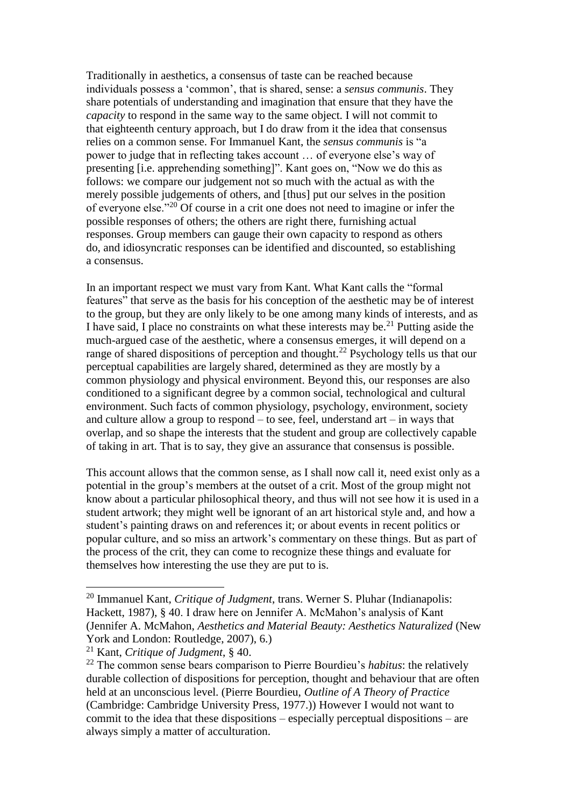Traditionally in aesthetics, a consensus of taste can be reached because individuals possess a 'common', that is shared, sense: a *sensus communis*. They share potentials of understanding and imagination that ensure that they have the *capacity* to respond in the same way to the same object. I will not commit to that eighteenth century approach, but I do draw from it the idea that consensus relies on a common sense. For Immanuel Kant, the *sensus communis* is "a power to judge that in reflecting takes account … of everyone else's way of presenting [i.e. apprehending something]". Kant goes on, "Now we do this as follows: we compare our judgement not so much with the actual as with the merely possible judgements of others, and [thus] put our selves in the position of everyone else."<sup>20</sup> Of course in a crit one does not need to imagine or infer the possible responses of others; the others are right there, furnishing actual responses. Group members can gauge their own capacity to respond as others do, and idiosyncratic responses can be identified and discounted, so establishing a consensus.

In an important respect we must vary from Kant. What Kant calls the "formal features" that serve as the basis for his conception of the aesthetic may be of interest to the group, but they are only likely to be one among many kinds of interests, and as I have said, I place no constraints on what these interests may be.<sup>21</sup> Putting aside the much-argued case of the aesthetic, where a consensus emerges, it will depend on a range of shared dispositions of perception and thought.<sup>22</sup> Psychology tells us that our perceptual capabilities are largely shared, determined as they are mostly by a common physiology and physical environment. Beyond this, our responses are also conditioned to a significant degree by a common social, technological and cultural environment. Such facts of common physiology, psychology, environment, society and culture allow a group to respond – to see, feel, understand art – in ways that overlap, and so shape the interests that the student and group are collectively capable of taking in art. That is to say, they give an assurance that consensus is possible.

This account allows that the common sense, as I shall now call it, need exist only as a potential in the group's members at the outset of a crit. Most of the group might not know about a particular philosophical theory, and thus will not see how it is used in a student artwork; they might well be ignorant of an art historical style and, and how a student's painting draws on and references it; or about events in recent politics or popular culture, and so miss an artwork's commentary on these things. But as part of the process of the crit, they can come to recognize these things and evaluate for themselves how interesting the use they are put to is.

<sup>20</sup> Immanuel Kant, *Critique of Judgment*, trans. Werner S. Pluhar (Indianapolis: Hackett, 1987), § 40. I draw here on Jennifer A. McMahon's analysis of Kant (Jennifer A. McMahon, *Aesthetics and Material Beauty: Aesthetics Naturalized* (New York and London: Routledge, 2007), 6.)

<sup>21</sup> Kant, *Critique of Judgment*, § 40.

<sup>22</sup> The common sense bears comparison to Pierre Bourdieu's *habitus*: the relatively durable collection of dispositions for perception, thought and behaviour that are often held at an unconscious level. (Pierre Bourdieu, *Outline of A Theory of Practice* (Cambridge: Cambridge University Press, 1977.)) However I would not want to commit to the idea that these dispositions – especially perceptual dispositions – are always simply a matter of acculturation.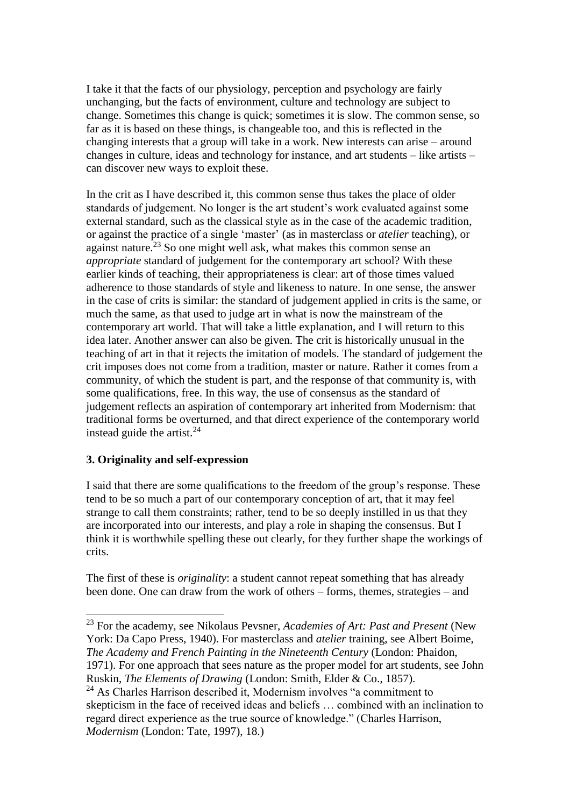I take it that the facts of our physiology, perception and psychology are fairly unchanging, but the facts of environment, culture and technology are subject to change. Sometimes this change is quick; sometimes it is slow. The common sense, so far as it is based on these things, is changeable too, and this is reflected in the changing interests that a group will take in a work. New interests can arise – around changes in culture, ideas and technology for instance, and art students – like artists – can discover new ways to exploit these.

In the crit as I have described it, this common sense thus takes the place of older standards of judgement. No longer is the art student's work evaluated against some external standard, such as the classical style as in the case of the academic tradition, or against the practice of a single 'master' (as in masterclass or *atelier* teaching), or against nature.<sup>23</sup> So one might well ask, what makes this common sense an *appropriate* standard of judgement for the contemporary art school? With these earlier kinds of teaching, their appropriateness is clear: art of those times valued adherence to those standards of style and likeness to nature. In one sense, the answer in the case of crits is similar: the standard of judgement applied in crits is the same, or much the same, as that used to judge art in what is now the mainstream of the contemporary art world. That will take a little explanation, and I will return to this idea later. Another answer can also be given. The crit is historically unusual in the teaching of art in that it rejects the imitation of models. The standard of judgement the crit imposes does not come from a tradition, master or nature. Rather it comes from a community, of which the student is part, and the response of that community is, with some qualifications, free. In this way, the use of consensus as the standard of judgement reflects an aspiration of contemporary art inherited from Modernism: that traditional forms be overturned, and that direct experience of the contemporary world instead guide the artist. $^{24}$ 

### **3. Originality and self-expression**

 $\overline{a}$ 

I said that there are some qualifications to the freedom of the group's response. These tend to be so much a part of our contemporary conception of art, that it may feel strange to call them constraints; rather, tend to be so deeply instilled in us that they are incorporated into our interests, and play a role in shaping the consensus. But I think it is worthwhile spelling these out clearly, for they further shape the workings of crits.

The first of these is *originality*: a student cannot repeat something that has already been done. One can draw from the work of others – forms, themes, strategies – and

<sup>23</sup> For the academy, see Nikolaus Pevsner, *Academies of Art: Past and Present* (New York: Da Capo Press, 1940). For masterclass and *atelier* training, see Albert Boime, *The Academy and French Painting in the Nineteenth Century* (London: Phaidon, 1971). For one approach that sees nature as the proper model for art students, see John Ruskin, *The Elements of Drawing* (London: Smith, Elder & Co., 1857).

<sup>&</sup>lt;sup>24</sup> As Charles Harrison described it, Modernism involves "a commitment to skepticism in the face of received ideas and beliefs … combined with an inclination to regard direct experience as the true source of knowledge." (Charles Harrison, *Modernism* (London: Tate, 1997), 18.)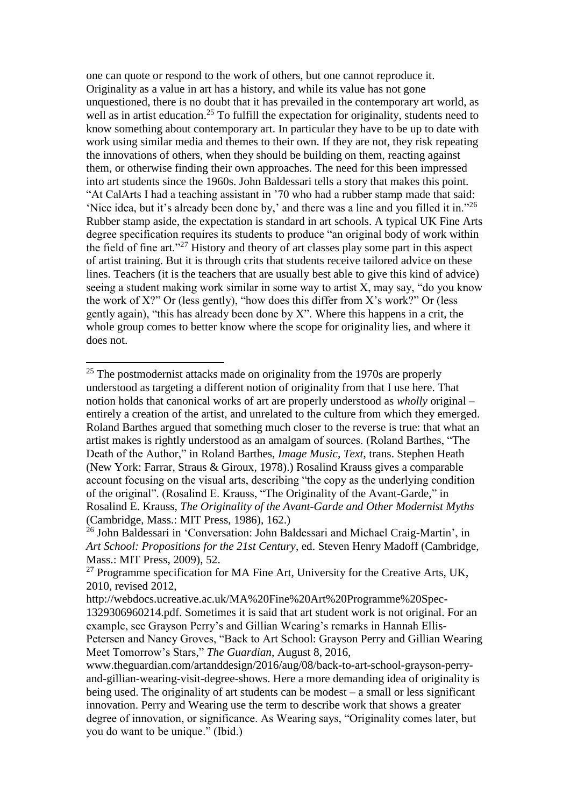one can quote or respond to the work of others, but one cannot reproduce it. Originality as a value in art has a history, and while its value has not gone unquestioned, there is no doubt that it has prevailed in the contemporary art world, as well as in artist education.<sup>25</sup> To fulfill the expectation for originality, students need to know something about contemporary art. In particular they have to be up to date with work using similar media and themes to their own. If they are not, they risk repeating the innovations of others, when they should be building on them, reacting against them, or otherwise finding their own approaches. The need for this been impressed into art students since the 1960s. John Baldessari tells a story that makes this point. "At CalArts I had a teaching assistant in '70 who had a rubber stamp made that said: 'Nice idea, but it's already been done by,' and there was a line and you filled it in."<sup>26</sup> Rubber stamp aside, the expectation is standard in art schools. A typical UK Fine Arts degree specification requires its students to produce "an original body of work within the field of fine art."<sup>27</sup> History and theory of art classes play some part in this aspect of artist training. But it is through crits that students receive tailored advice on these lines. Teachers (it is the teachers that are usually best able to give this kind of advice) seeing a student making work similar in some way to artist X, may say, "do you know the work of X?" Or (less gently), "how does this differ from X's work?" Or (less gently again), "this has already been done by  $X$ ". Where this happens in a crit, the whole group comes to better know where the scope for originality lies, and where it does not.

Meet Tomorrow's Stars," *The Guardian*, August 8, 2016,

 $25$  The postmodernist attacks made on originality from the 1970s are properly understood as targeting a different notion of originality from that I use here. That notion holds that canonical works of art are properly understood as *wholly* original – entirely a creation of the artist, and unrelated to the culture from which they emerged. Roland Barthes argued that something much closer to the reverse is true: that what an artist makes is rightly understood as an amalgam of sources. (Roland Barthes, "The Death of the Author," in Roland Barthes, *Image Music, Text*, trans. Stephen Heath (New York: Farrar, Straus & Giroux, 1978).) Rosalind Krauss gives a comparable account focusing on the visual arts, describing "the copy as the underlying condition of the original". (Rosalind E. Krauss, "The Originality of the Avant-Garde," in Rosalind E. Krauss, *The Originality of the Avant-Garde and Other Modernist Myths* (Cambridge, Mass.: MIT Press, 1986), 162.)

<sup>26</sup> John Baldessari in 'Conversation: John Baldessari and Michael Craig-Martin', in *Art School: Propositions for the 21st Century*, ed. Steven Henry Madoff (Cambridge, Mass.: MIT Press, 2009), 52.

 $27$  Programme specification for MA Fine Art, University for the Creative Arts, UK, 2010, revised 2012,

http://webdocs.ucreative.ac.uk/MA%20Fine%20Art%20Programme%20Spec-1329306960214.pdf. Sometimes it is said that art student work is not original. For an example, see Grayson Perry's and Gillian Wearing's remarks in Hannah Ellis-Petersen and Nancy Groves, "Back to Art School: Grayson Perry and Gillian Wearing

www.theguardian.com/artanddesign/2016/aug/08/back-to-art-school-grayson-perryand-gillian-wearing-visit-degree-shows. Here a more demanding idea of originality is being used. The originality of art students can be modest – a small or less significant innovation. Perry and Wearing use the term to describe work that shows a greater degree of innovation, or significance. As Wearing says, "Originality comes later, but you do want to be unique." (Ibid.)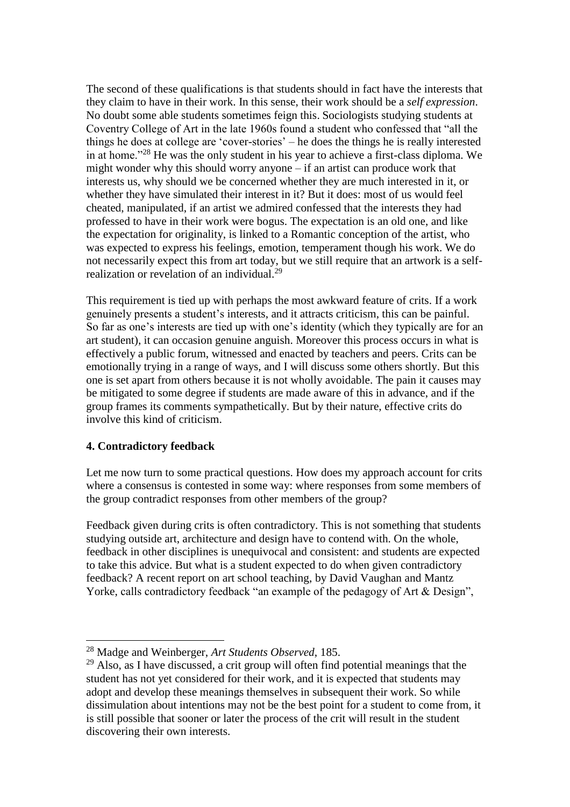The second of these qualifications is that students should in fact have the interests that they claim to have in their work. In this sense, their work should be a *self expression*. No doubt some able students sometimes feign this. Sociologists studying students at Coventry College of Art in the late 1960s found a student who confessed that "all the things he does at college are 'cover-stories' – he does the things he is really interested in at home."<sup>28</sup> He was the only student in his year to achieve a first-class diploma. We might wonder why this should worry anyone – if an artist can produce work that interests us, why should we be concerned whether they are much interested in it, or whether they have simulated their interest in it? But it does: most of us would feel cheated, manipulated, if an artist we admired confessed that the interests they had professed to have in their work were bogus. The expectation is an old one, and like the expectation for originality, is linked to a Romantic conception of the artist, who was expected to express his feelings, emotion, temperament though his work. We do not necessarily expect this from art today, but we still require that an artwork is a selfrealization or revelation of an individual.<sup>29</sup>

This requirement is tied up with perhaps the most awkward feature of crits. If a work genuinely presents a student's interests, and it attracts criticism, this can be painful. So far as one's interests are tied up with one's identity (which they typically are for an art student), it can occasion genuine anguish. Moreover this process occurs in what is effectively a public forum, witnessed and enacted by teachers and peers. Crits can be emotionally trying in a range of ways, and I will discuss some others shortly. But this one is set apart from others because it is not wholly avoidable. The pain it causes may be mitigated to some degree if students are made aware of this in advance, and if the group frames its comments sympathetically. But by their nature, effective crits do involve this kind of criticism.

### **4. Contradictory feedback**

 $\overline{a}$ 

Let me now turn to some practical questions. How does my approach account for crits where a consensus is contested in some way: where responses from some members of the group contradict responses from other members of the group?

Feedback given during crits is often contradictory. This is not something that students studying outside art, architecture and design have to contend with. On the whole, feedback in other disciplines is unequivocal and consistent: and students are expected to take this advice. But what is a student expected to do when given contradictory feedback? A recent report on art school teaching, by David Vaughan and Mantz Yorke, calls contradictory feedback "an example of the pedagogy of Art & Design",

<sup>28</sup> Madge and Weinberger, *Art Students Observed*, 185.

<sup>&</sup>lt;sup>29</sup> Also, as I have discussed, a crit group will often find potential meanings that the student has not yet considered for their work, and it is expected that students may adopt and develop these meanings themselves in subsequent their work. So while dissimulation about intentions may not be the best point for a student to come from, it is still possible that sooner or later the process of the crit will result in the student discovering their own interests.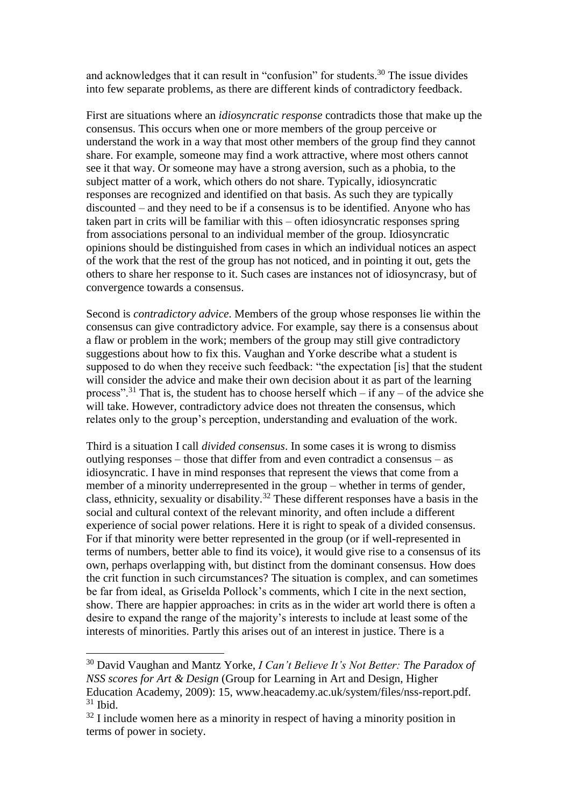and acknowledges that it can result in "confusion" for students.<sup>30</sup> The issue divides into few separate problems, as there are different kinds of contradictory feedback.

First are situations where an *idiosyncratic response* contradicts those that make up the consensus. This occurs when one or more members of the group perceive or understand the work in a way that most other members of the group find they cannot share. For example, someone may find a work attractive, where most others cannot see it that way. Or someone may have a strong aversion, such as a phobia, to the subject matter of a work, which others do not share. Typically, idiosyncratic responses are recognized and identified on that basis. As such they are typically discounted – and they need to be if a consensus is to be identified. Anyone who has taken part in crits will be familiar with this – often idiosyncratic responses spring from associations personal to an individual member of the group. Idiosyncratic opinions should be distinguished from cases in which an individual notices an aspect of the work that the rest of the group has not noticed, and in pointing it out, gets the others to share her response to it. Such cases are instances not of idiosyncrasy, but of convergence towards a consensus.

Second is *contradictory advice*. Members of the group whose responses lie within the consensus can give contradictory advice. For example, say there is a consensus about a flaw or problem in the work; members of the group may still give contradictory suggestions about how to fix this. Vaughan and Yorke describe what a student is supposed to do when they receive such feedback: "the expectation [is] that the student will consider the advice and make their own decision about it as part of the learning process".<sup>31</sup> That is, the student has to choose herself which – if any – of the advice she will take. However, contradictory advice does not threaten the consensus, which relates only to the group's perception, understanding and evaluation of the work.

Third is a situation I call *divided consensus*. In some cases it is wrong to dismiss outlying responses – those that differ from and even contradict a consensus – as idiosyncratic. I have in mind responses that represent the views that come from a member of a minority underrepresented in the group – whether in terms of gender, class, ethnicity, sexuality or disability.<sup>32</sup> These different responses have a basis in the social and cultural context of the relevant minority, and often include a different experience of social power relations. Here it is right to speak of a divided consensus. For if that minority were better represented in the group (or if well-represented in terms of numbers, better able to find its voice), it would give rise to a consensus of its own, perhaps overlapping with, but distinct from the dominant consensus. How does the crit function in such circumstances? The situation is complex, and can sometimes be far from ideal, as Griselda Pollock's comments, which I cite in the next section, show. There are happier approaches: in crits as in the wider art world there is often a desire to expand the range of the majority's interests to include at least some of the interests of minorities. Partly this arises out of an interest in justice. There is a

<sup>30</sup> David Vaughan and Mantz Yorke, *I Can't Believe It's Not Better: The Paradox of NSS scores for Art & Design* (Group for Learning in Art and Design, Higher Education Academy, 2009): 15, www.heacademy.ac.uk/system/files/nss-report.pdf.  $31$  Ibid.

 $32$  I include women here as a minority in respect of having a minority position in terms of power in society.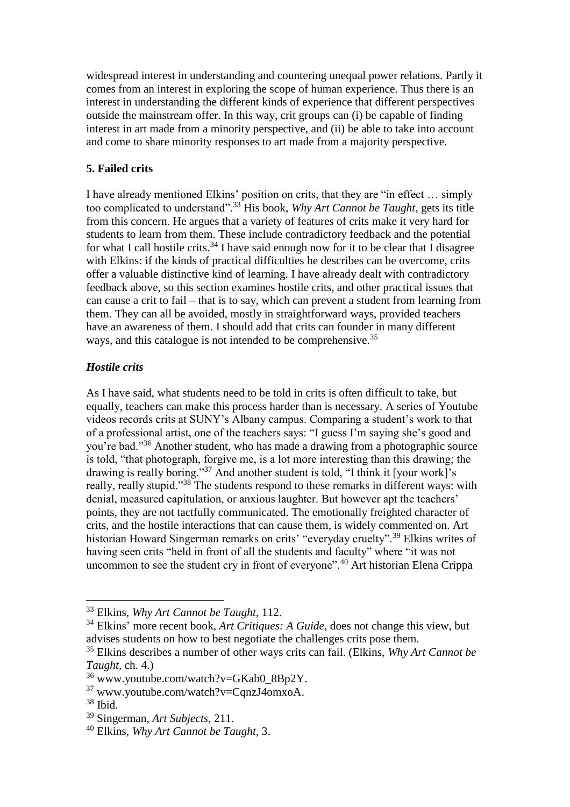widespread interest in understanding and countering unequal power relations. Partly it comes from an interest in exploring the scope of human experience. Thus there is an interest in understanding the different kinds of experience that different perspectives outside the mainstream offer. In this way, crit groups can (i) be capable of finding interest in art made from a minority perspective, and (ii) be able to take into account and come to share minority responses to art made from a majority perspective.

#### **5. Failed crits**

I have already mentioned Elkins' position on crits, that they are "in effect … simply too complicated to understand".<sup>33</sup> His book, *Why Art Cannot be Taught*, gets its title from this concern. He argues that a variety of features of crits make it very hard for students to learn from them. These include contradictory feedback and the potential for what I call hostile crits.<sup>34</sup> I have said enough now for it to be clear that I disagree with Elkins: if the kinds of practical difficulties he describes can be overcome, crits offer a valuable distinctive kind of learning. I have already dealt with contradictory feedback above, so this section examines hostile crits, and other practical issues that can cause a crit to fail – that is to say, which can prevent a student from learning from them. They can all be avoided, mostly in straightforward ways, provided teachers have an awareness of them. I should add that crits can founder in many different ways, and this catalogue is not intended to be comprehensive.<sup>35</sup>

#### *Hostile crits*

As I have said, what students need to be told in crits is often difficult to take, but equally, teachers can make this process harder than is necessary. A series of Youtube videos records crits at SUNY's Albany campus. Comparing a student's work to that of a professional artist, one of the teachers says: "I guess I'm saying she's good and you're bad."<sup>36</sup> Another student, who has made a drawing from a photographic source is told, "that photograph, forgive me, is a lot more interesting than this drawing; the drawing is really boring."<sup>37</sup> And another student is told, "I think it [your work]'s really, really stupid."<sup>38</sup> The students respond to these remarks in different ways: with denial, measured capitulation, or anxious laughter. But however apt the teachers' points, they are not tactfully communicated. The emotionally freighted character of crits, and the hostile interactions that can cause them, is widely commented on. Art historian Howard Singerman remarks on crits' "everyday cruelty".<sup>39</sup> Elkins writes of having seen crits "held in front of all the students and faculty" where "it was not uncommon to see the student cry in front of everyone".<sup>40</sup> Art historian Elena Crippa

<sup>33</sup> Elkins, *Why Art Cannot be Taught*, 112.

<sup>34</sup> Elkins' more recent book, *Art Critiques: A Guide*, does not change this view, but advises students on how to best negotiate the challenges crits pose them.

<sup>35</sup> Elkins describes a number of other ways crits can fail. (Elkins, *Why Art Cannot be Taught*, ch. 4.)

 $36$  www.youtube.com/watch?v=GKab0\_8Bp2Y.

<sup>37</sup> www.youtube.com/watch?v=CqnzJ4omxoA.

<sup>38</sup> Ibid.

<sup>39</sup> Singerman, *Art Subjects,* 211.

<sup>40</sup> Elkins, *Why Art Cannot be Taught*, 3.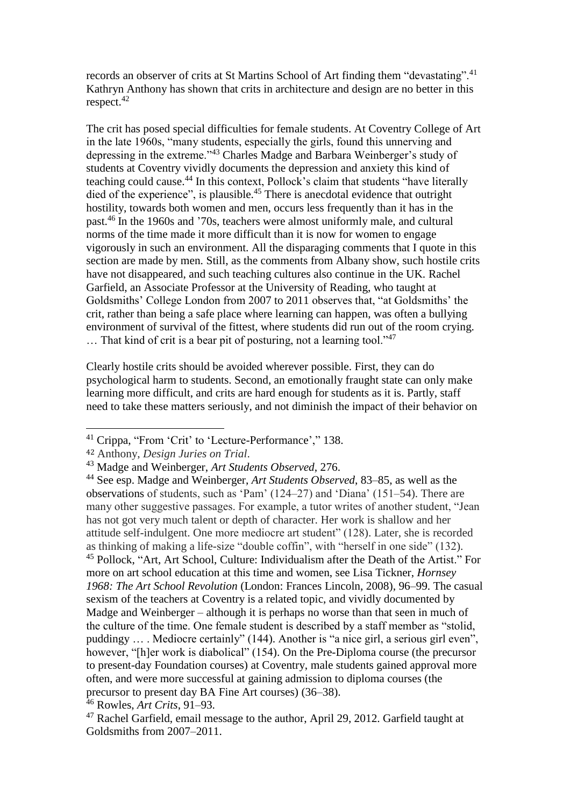records an observer of crits at St Martins School of Art finding them "devastating".<sup>41</sup> Kathryn Anthony has shown that crits in architecture and design are no better in this respect.<sup>42</sup>

The crit has posed special difficulties for female students. At Coventry College of Art in the late 1960s, "many students, especially the girls, found this unnerving and depressing in the extreme."<sup>43</sup> Charles Madge and Barbara Weinberger's study of students at Coventry vividly documents the depression and anxiety this kind of teaching could cause.<sup>44</sup> In this context, Pollock's claim that students "have literally died of the experience", is plausible.<sup>45</sup> There is anecdotal evidence that outright hostility, towards both women and men, occurs less frequently than it has in the past.<sup>46</sup> In the 1960s and '70s, teachers were almost uniformly male, and cultural norms of the time made it more difficult than it is now for women to engage vigorously in such an environment. All the disparaging comments that I quote in this section are made by men. Still, as the comments from Albany show, such hostile crits have not disappeared, and such teaching cultures also continue in the UK. Rachel Garfield, an Associate Professor at the University of Reading, who taught at Goldsmiths' College London from 2007 to 2011 observes that, "at Goldsmiths' the crit, rather than being a safe place where learning can happen, was often a bullying environment of survival of the fittest, where students did run out of the room crying. ... That kind of crit is a bear pit of posturing, not a learning tool."<sup>47</sup>

Clearly hostile crits should be avoided wherever possible. First, they can do psychological harm to students. Second, an emotionally fraught state can only make learning more difficult, and crits are hard enough for students as it is. Partly, staff need to take these matters seriously, and not diminish the impact of their behavior on

<sup>41</sup> Crippa, "From 'Crit' to 'Lecture-Performance'," 138.

<sup>42</sup> Anthony, *Design Juries on Trial*.

<sup>43</sup> Madge and Weinberger, *Art Students Observed*, 276.

<sup>44</sup> See esp. Madge and Weinberger, *Art Students Observed*, 83–85, as well as the observations of students, such as 'Pam' (124–27) and 'Diana' (151–54). There are many other suggestive passages. For example, a tutor writes of another student, "Jean has not got very much talent or depth of character. Her work is shallow and her attitude self-indulgent. One more mediocre art student" (128). Later, she is recorded as thinking of making a life-size "double coffin", with "herself in one side" (132). <sup>45</sup> Pollock, "Art, Art School, Culture: Individualism after the Death of the Artist." For more on art school education at this time and women, see Lisa Tickner, *Hornsey 1968: The Art School Revolution* (London: Frances Lincoln, 2008), 96–99. The casual sexism of the teachers at Coventry is a related topic, and vividly documented by Madge and Weinberger – although it is perhaps no worse than that seen in much of the culture of the time. One female student is described by a staff member as "stolid, puddingy … . Mediocre certainly" (144). Another is "a nice girl, a serious girl even", however, "[h]er work is diabolical" (154). On the Pre-Diploma course (the precursor to present-day Foundation courses) at Coventry, male students gained approval more often, and were more successful at gaining admission to diploma courses (the precursor to present day BA Fine Art courses) (36–38).

<sup>46</sup> Rowles, *Art Crits*, 91–93.

<sup>47</sup> Rachel Garfield, email message to the author, April 29, 2012. Garfield taught at Goldsmiths from 2007–2011.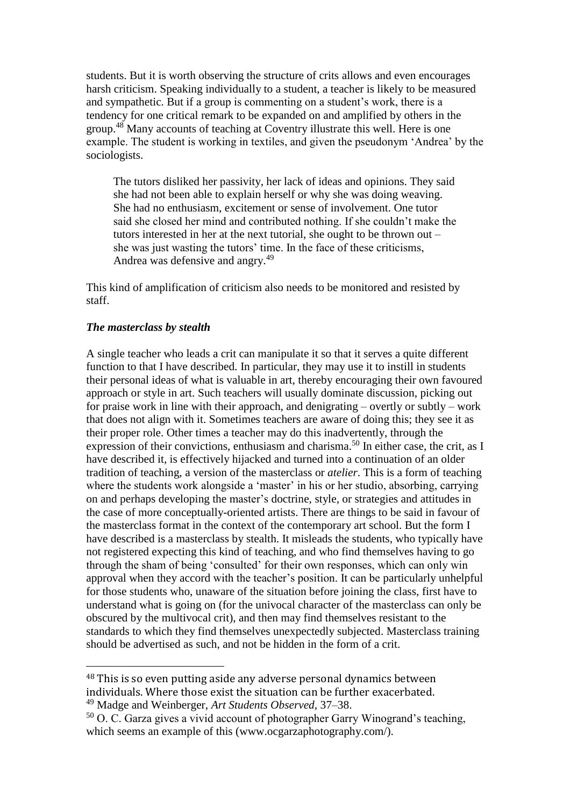students. But it is worth observing the structure of crits allows and even encourages harsh criticism. Speaking individually to a student, a teacher is likely to be measured and sympathetic. But if a group is commenting on a student's work, there is a tendency for one critical remark to be expanded on and amplified by others in the group.<sup>48</sup> Many accounts of teaching at Coventry illustrate this well. Here is one example. The student is working in textiles, and given the pseudonym 'Andrea' by the sociologists.

The tutors disliked her passivity, her lack of ideas and opinions. They said she had not been able to explain herself or why she was doing weaving. She had no enthusiasm, excitement or sense of involvement. One tutor said she closed her mind and contributed nothing. If she couldn't make the tutors interested in her at the next tutorial, she ought to be thrown out – she was just wasting the tutors' time. In the face of these criticisms, Andrea was defensive and angry.<sup>49</sup>

This kind of amplification of criticism also needs to be monitored and resisted by staff.

#### *The masterclass by stealth*

 $\overline{a}$ 

A single teacher who leads a crit can manipulate it so that it serves a quite different function to that I have described. In particular, they may use it to instill in students their personal ideas of what is valuable in art, thereby encouraging their own favoured approach or style in art. Such teachers will usually dominate discussion, picking out for praise work in line with their approach, and denigrating – overtly or subtly – work that does not align with it. Sometimes teachers are aware of doing this; they see it as their proper role. Other times a teacher may do this inadvertently, through the expression of their convictions, enthusiasm and charisma.<sup>50</sup> In either case, the crit, as I have described it, is effectively hijacked and turned into a continuation of an older tradition of teaching, a version of the masterclass or *atelier*. This is a form of teaching where the students work alongside a 'master' in his or her studio, absorbing, carrying on and perhaps developing the master's doctrine, style, or strategies and attitudes in the case of more conceptually-oriented artists. There are things to be said in favour of the masterclass format in the context of the contemporary art school. But the form I have described is a masterclass by stealth. It misleads the students, who typically have not registered expecting this kind of teaching, and who find themselves having to go through the sham of being 'consulted' for their own responses, which can only win approval when they accord with the teacher's position. It can be particularly unhelpful for those students who, unaware of the situation before joining the class, first have to understand what is going on (for the univocal character of the masterclass can only be obscured by the multivocal crit), and then may find themselves resistant to the standards to which they find themselves unexpectedly subjected. Masterclass training should be advertised as such, and not be hidden in the form of a crit.

<sup>48</sup> This is so even putting aside any adverse personal dynamics between individuals. Where those exist the situation can be further exacerbated. <sup>49</sup> Madge and Weinberger, *Art Students Observed*, 37–38.

<sup>50</sup> O. C. Garza gives a vivid account of photographer Garry Winogrand's teaching, which seems an example of this (www.ocgarzaphotography.com/).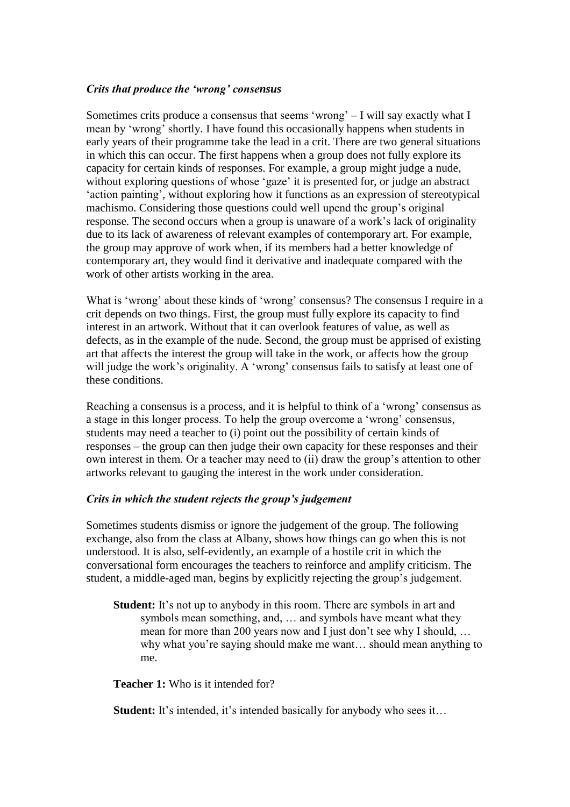#### *Crits that produce the 'wrong' consensus*

Sometimes crits produce a consensus that seems 'wrong' – I will say exactly what I mean by 'wrong' shortly. I have found this occasionally happens when students in early years of their programme take the lead in a crit. There are two general situations in which this can occur. The first happens when a group does not fully explore its capacity for certain kinds of responses. For example, a group might judge a nude, without exploring questions of whose 'gaze' it is presented for, or judge an abstract 'action painting', without exploring how it functions as an expression of stereotypical machismo. Considering those questions could well upend the group's original response. The second occurs when a group is unaware of a work's lack of originality due to its lack of awareness of relevant examples of contemporary art. For example, the group may approve of work when, if its members had a better knowledge of contemporary art, they would find it derivative and inadequate compared with the work of other artists working in the area.

What is 'wrong' about these kinds of 'wrong' consensus? The consensus I require in a crit depends on two things. First, the group must fully explore its capacity to find interest in an artwork. Without that it can overlook features of value, as well as defects, as in the example of the nude. Second, the group must be apprised of existing art that affects the interest the group will take in the work, or affects how the group will judge the work's originality. A 'wrong' consensus fails to satisfy at least one of these conditions.

Reaching a consensus is a process, and it is helpful to think of a 'wrong' consensus as a stage in this longer process. To help the group overcome a 'wrong' consensus, students may need a teacher to (i) point out the possibility of certain kinds of responses – the group can then judge their own capacity for these responses and their own interest in them. Or a teacher may need to (ii) draw the group's attention to other artworks relevant to gauging the interest in the work under consideration.

#### *Crits in which the student rejects the group's judgement*

Sometimes students dismiss or ignore the judgement of the group. The following exchange, also from the class at Albany, shows how things can go when this is not understood. It is also, self-evidently, an example of a hostile crit in which the conversational form encourages the teachers to reinforce and amplify criticism. The student, a middle-aged man, begins by explicitly rejecting the group's judgement.

**Student:** It's not up to anybody in this room. There are symbols in art and symbols mean something, and, … and symbols have meant what they mean for more than 200 years now and I just don't see why I should, … why what you're saying should make me want… should mean anything to me.

**Teacher 1:** Who is it intended for?

**Student:** It's intended, it's intended basically for anybody who sees it...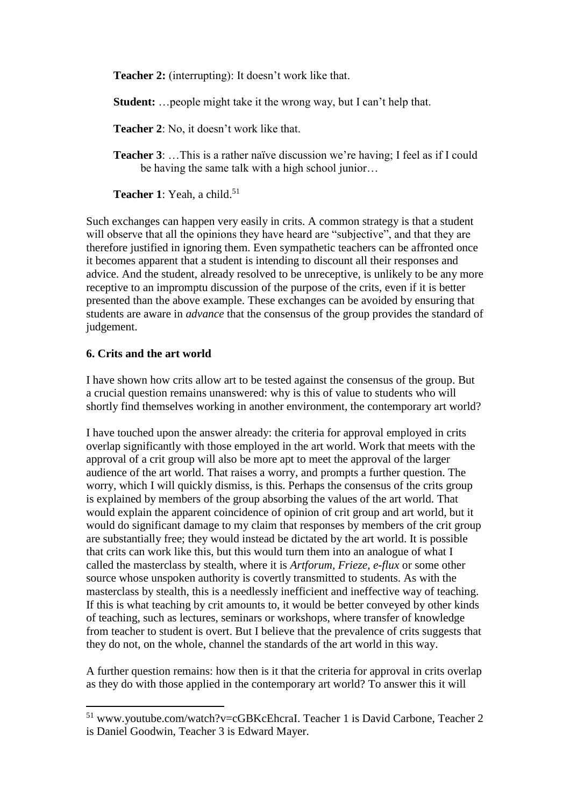**Teacher 2:** (interrupting): It doesn't work like that.

**Student:** …people might take it the wrong way, but I can't help that.

**Teacher 2**: No, it doesn't work like that.

**Teacher 3**: …This is a rather naïve discussion we're having; I feel as if I could be having the same talk with a high school junior…

**Teacher 1**: Yeah, a child. 51

Such exchanges can happen very easily in crits. A common strategy is that a student will observe that all the opinions they have heard are "subjective", and that they are therefore justified in ignoring them. Even sympathetic teachers can be affronted once it becomes apparent that a student is intending to discount all their responses and advice. And the student, already resolved to be unreceptive, is unlikely to be any more receptive to an impromptu discussion of the purpose of the crits, even if it is better presented than the above example. These exchanges can be avoided by ensuring that students are aware in *advance* that the consensus of the group provides the standard of judgement.

#### **6. Crits and the art world**

 $\overline{a}$ 

I have shown how crits allow art to be tested against the consensus of the group. But a crucial question remains unanswered: why is this of value to students who will shortly find themselves working in another environment, the contemporary art world?

I have touched upon the answer already: the criteria for approval employed in crits overlap significantly with those employed in the art world. Work that meets with the approval of a crit group will also be more apt to meet the approval of the larger audience of the art world. That raises a worry, and prompts a further question. The worry, which I will quickly dismiss, is this. Perhaps the consensus of the crits group is explained by members of the group absorbing the values of the art world. That would explain the apparent coincidence of opinion of crit group and art world, but it would do significant damage to my claim that responses by members of the crit group are substantially free; they would instead be dictated by the art world. It is possible that crits can work like this, but this would turn them into an analogue of what I called the masterclass by stealth, where it is *Artforum, Frieze*, *e-flux* or some other source whose unspoken authority is covertly transmitted to students. As with the masterclass by stealth, this is a needlessly inefficient and ineffective way of teaching. If this is what teaching by crit amounts to, it would be better conveyed by other kinds of teaching, such as lectures, seminars or workshops, where transfer of knowledge from teacher to student is overt. But I believe that the prevalence of crits suggests that they do not, on the whole, channel the standards of the art world in this way.

A further question remains: how then is it that the criteria for approval in crits overlap as they do with those applied in the contemporary art world? To answer this it will

<sup>51</sup> www.youtube.com/watch?v=cGBKcEhcraI. Teacher 1 is David Carbone, Teacher 2 is Daniel Goodwin, Teacher 3 is Edward Mayer.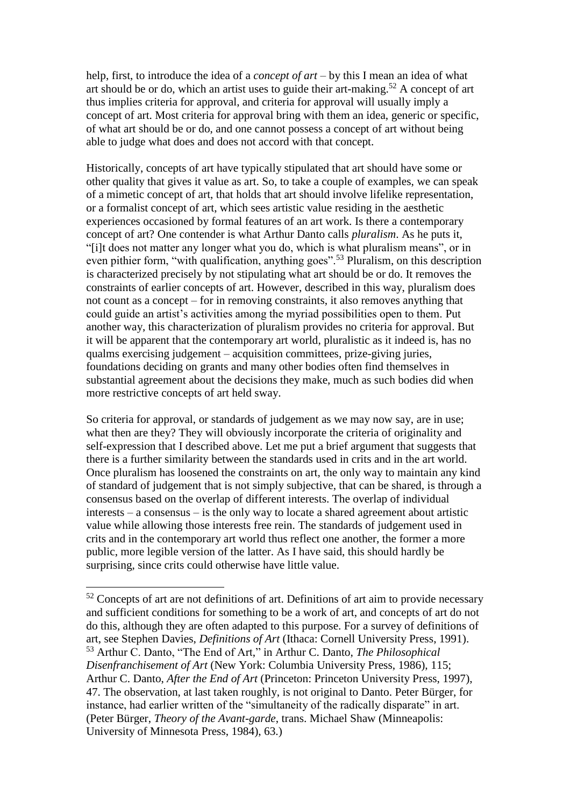help, first, to introduce the idea of a *concept of art* – by this I mean an idea of what art should be or do, which an artist uses to guide their art-making.<sup>52</sup> A concept of art thus implies criteria for approval, and criteria for approval will usually imply a concept of art. Most criteria for approval bring with them an idea, generic or specific, of what art should be or do, and one cannot possess a concept of art without being able to judge what does and does not accord with that concept.

Historically, concepts of art have typically stipulated that art should have some or other quality that gives it value as art. So, to take a couple of examples, we can speak of a mimetic concept of art, that holds that art should involve lifelike representation, or a formalist concept of art, which sees artistic value residing in the aesthetic experiences occasioned by formal features of an art work. Is there a contemporary concept of art? One contender is what Arthur Danto calls *pluralism*. As he puts it, "[i]t does not matter any longer what you do, which is what pluralism means", or in even pithier form, "with qualification, anything goes".<sup>53</sup> Pluralism, on this description is characterized precisely by not stipulating what art should be or do. It removes the constraints of earlier concepts of art. However, described in this way, pluralism does not count as a concept – for in removing constraints, it also removes anything that could guide an artist's activities among the myriad possibilities open to them. Put another way, this characterization of pluralism provides no criteria for approval. But it will be apparent that the contemporary art world, pluralistic as it indeed is, has no qualms exercising judgement – acquisition committees, prize-giving juries, foundations deciding on grants and many other bodies often find themselves in substantial agreement about the decisions they make, much as such bodies did when more restrictive concepts of art held sway.

So criteria for approval, or standards of judgement as we may now say, are in use; what then are they? They will obviously incorporate the criteria of originality and self-expression that I described above. Let me put a brief argument that suggests that there is a further similarity between the standards used in crits and in the art world. Once pluralism has loosened the constraints on art, the only way to maintain any kind of standard of judgement that is not simply subjective, that can be shared, is through a consensus based on the overlap of different interests. The overlap of individual interests – a consensus – is the only way to locate a shared agreement about artistic value while allowing those interests free rein. The standards of judgement used in crits and in the contemporary art world thus reflect one another, the former a more public, more legible version of the latter. As I have said, this should hardly be surprising, since crits could otherwise have little value.

 $52$  Concepts of art are not definitions of art. Definitions of art aim to provide necessary and sufficient conditions for something to be a work of art, and concepts of art do not do this, although they are often adapted to this purpose. For a survey of definitions of art, see Stephen Davies, *Definitions of Art* (Ithaca: Cornell University Press, 1991). <sup>53</sup> Arthur C. Danto, "The End of Art," in Arthur C. Danto, *The Philosophical Disenfranchisement of Art* (New York: Columbia University Press, 1986), 115; Arthur C. Danto, *After the End of Art* (Princeton: Princeton University Press, 1997), 47. The observation, at last taken roughly, is not original to Danto. Peter Bürger, for instance, had earlier written of the "simultaneity of the radically disparate" in art. (Peter Bürger, *Theory of the Avant-garde*, trans. Michael Shaw (Minneapolis: University of Minnesota Press, 1984), 63.)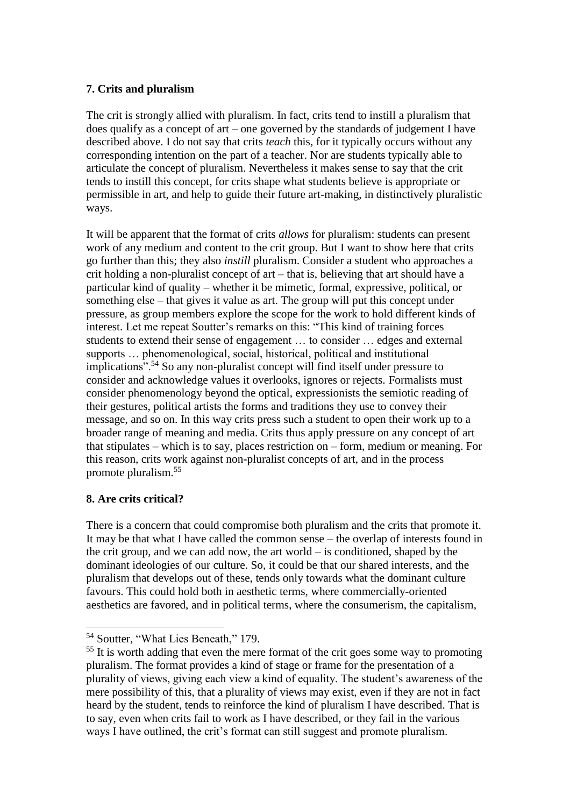### **7. Crits and pluralism**

The crit is strongly allied with pluralism. In fact, crits tend to instill a pluralism that does qualify as a concept of art – one governed by the standards of judgement I have described above. I do not say that crits *teach* this, for it typically occurs without any corresponding intention on the part of a teacher. Nor are students typically able to articulate the concept of pluralism. Nevertheless it makes sense to say that the crit tends to instill this concept, for crits shape what students believe is appropriate or permissible in art, and help to guide their future art-making, in distinctively pluralistic ways.

It will be apparent that the format of crits *allows* for pluralism: students can present work of any medium and content to the crit group. But I want to show here that crits go further than this; they also *instill* pluralism. Consider a student who approaches a crit holding a non-pluralist concept of art – that is, believing that art should have a particular kind of quality – whether it be mimetic, formal, expressive, political, or something else – that gives it value as art. The group will put this concept under pressure, as group members explore the scope for the work to hold different kinds of interest. Let me repeat Soutter's remarks on this: "This kind of training forces students to extend their sense of engagement … to consider … edges and external supports … phenomenological, social, historical, political and institutional implications".<sup>54</sup> So any non-pluralist concept will find itself under pressure to consider and acknowledge values it overlooks, ignores or rejects. Formalists must consider phenomenology beyond the optical, expressionists the semiotic reading of their gestures, political artists the forms and traditions they use to convey their message, and so on. In this way crits press such a student to open their work up to a broader range of meaning and media. Crits thus apply pressure on any concept of art that stipulates – which is to say, places restriction on – form, medium or meaning. For this reason, crits work against non-pluralist concepts of art, and in the process promote pluralism.<sup>55</sup>

### **8. Are crits critical?**

 $\overline{a}$ 

There is a concern that could compromise both pluralism and the crits that promote it. It may be that what I have called the common sense – the overlap of interests found in the crit group, and we can add now, the art world – is conditioned, shaped by the dominant ideologies of our culture. So, it could be that our shared interests, and the pluralism that develops out of these, tends only towards what the dominant culture favours. This could hold both in aesthetic terms, where commercially-oriented aesthetics are favored, and in political terms, where the consumerism, the capitalism,

<sup>&</sup>lt;sup>54</sup> Soutter, "What Lies Beneath," 179.

<sup>&</sup>lt;sup>55</sup> It is worth adding that even the mere format of the crit goes some way to promoting pluralism. The format provides a kind of stage or frame for the presentation of a plurality of views, giving each view a kind of equality. The student's awareness of the mere possibility of this, that a plurality of views may exist, even if they are not in fact heard by the student, tends to reinforce the kind of pluralism I have described. That is to say, even when crits fail to work as I have described, or they fail in the various ways I have outlined, the crit's format can still suggest and promote pluralism.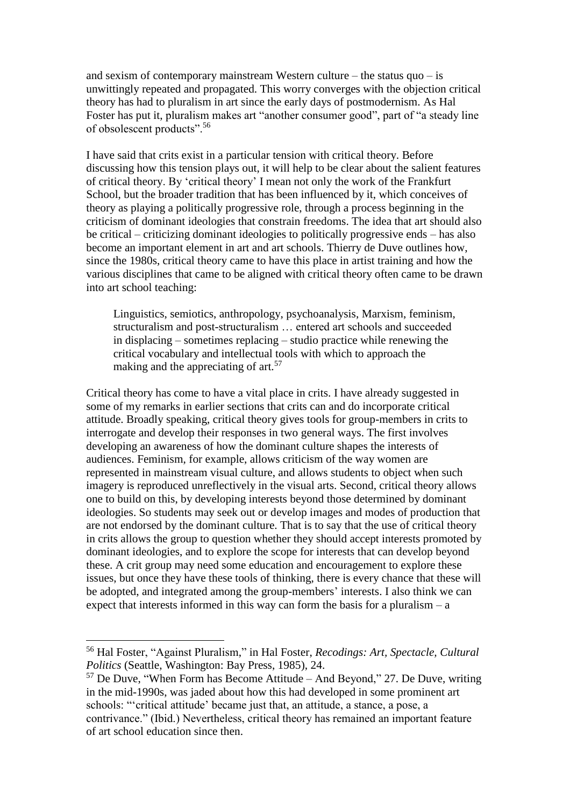and sexism of contemporary mainstream Western culture – the status quo – is unwittingly repeated and propagated. This worry converges with the objection critical theory has had to pluralism in art since the early days of postmodernism. As Hal Foster has put it, pluralism makes art "another consumer good", part of "a steady line of obsolescent products".<sup>56</sup>

I have said that crits exist in a particular tension with critical theory. Before discussing how this tension plays out, it will help to be clear about the salient features of critical theory. By 'critical theory' I mean not only the work of the Frankfurt School, but the broader tradition that has been influenced by it, which conceives of theory as playing a politically progressive role, through a process beginning in the criticism of dominant ideologies that constrain freedoms. The idea that art should also be critical – criticizing dominant ideologies to politically progressive ends – has also become an important element in art and art schools. Thierry de Duve outlines how, since the 1980s, critical theory came to have this place in artist training and how the various disciplines that came to be aligned with critical theory often came to be drawn into art school teaching:

Linguistics, semiotics, anthropology, psychoanalysis, Marxism, feminism, structuralism and post-structuralism … entered art schools and succeeded in displacing – sometimes replacing – studio practice while renewing the critical vocabulary and intellectual tools with which to approach the making and the appreciating of art.<sup>57</sup>

Critical theory has come to have a vital place in crits. I have already suggested in some of my remarks in earlier sections that crits can and do incorporate critical attitude. Broadly speaking, critical theory gives tools for group-members in crits to interrogate and develop their responses in two general ways. The first involves developing an awareness of how the dominant culture shapes the interests of audiences. Feminism, for example, allows criticism of the way women are represented in mainstream visual culture, and allows students to object when such imagery is reproduced unreflectively in the visual arts. Second, critical theory allows one to build on this, by developing interests beyond those determined by dominant ideologies. So students may seek out or develop images and modes of production that are not endorsed by the dominant culture. That is to say that the use of critical theory in crits allows the group to question whether they should accept interests promoted by dominant ideologies, and to explore the scope for interests that can develop beyond these. A crit group may need some education and encouragement to explore these issues, but once they have these tools of thinking, there is every chance that these will be adopted, and integrated among the group-members' interests. I also think we can expect that interests informed in this way can form the basis for a pluralism  $-$  a

<sup>56</sup> Hal Foster, "Against Pluralism," in Hal Foster, *Recodings: Art, Spectacle, Cultural Politics* (Seattle, Washington: Bay Press, 1985), 24.

 $57$  De Duve, "When Form has Become Attitude – And Beyond," 27. De Duve, writing in the mid-1990s, was jaded about how this had developed in some prominent art schools: "'critical attitude' became just that, an attitude, a stance, a pose, a contrivance." (Ibid.) Nevertheless, critical theory has remained an important feature of art school education since then.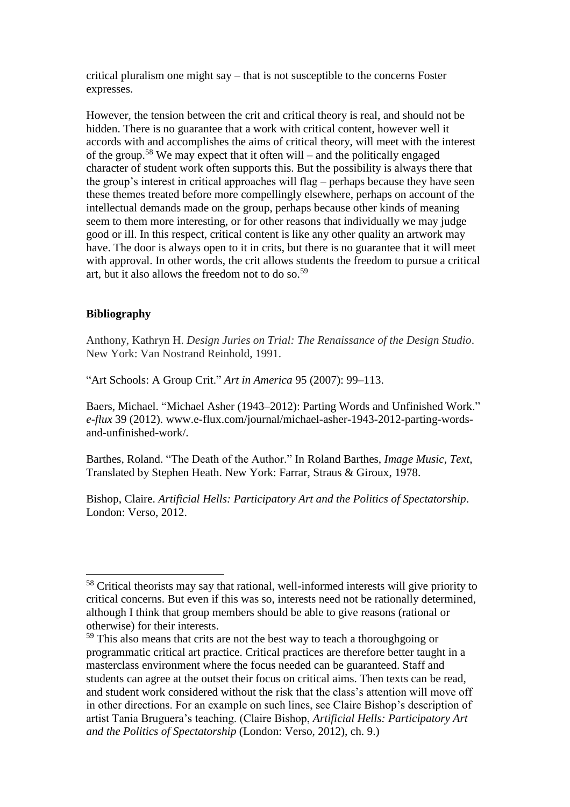critical pluralism one might say – that is not susceptible to the concerns Foster expresses.

However, the tension between the crit and critical theory is real, and should not be hidden. There is no guarantee that a work with critical content, however well it accords with and accomplishes the aims of critical theory, will meet with the interest of the group.<sup>58</sup> We may expect that it often will – and the politically engaged character of student work often supports this. But the possibility is always there that the group's interest in critical approaches will flag – perhaps because they have seen these themes treated before more compellingly elsewhere, perhaps on account of the intellectual demands made on the group, perhaps because other kinds of meaning seem to them more interesting, or for other reasons that individually we may judge good or ill. In this respect, critical content is like any other quality an artwork may have. The door is always open to it in crits, but there is no guarantee that it will meet with approval. In other words, the crit allows students the freedom to pursue a critical art, but it also allows the freedom not to do so.<sup>59</sup>

#### **Bibliography**

 $\overline{a}$ 

Anthony, Kathryn H. *Design Juries on Trial: The Renaissance of the Design Studio*. New York: Van Nostrand Reinhold, 1991.

"Art Schools: A Group Crit." *Art in America* 95 (2007): 99–113.

Baers, Michael. "Michael Asher (1943–2012): Parting Words and Unfinished Work." *e-flux* 39 (2012). www.e-flux.com/journal/michael-asher-1943-2012-parting-wordsand-unfinished-work/.

Barthes, Roland. "The Death of the Author." In Roland Barthes, *Image Music, Text*, Translated by Stephen Heath. New York: Farrar, Straus & Giroux, 1978.

Bishop, Claire. *Artificial Hells: Participatory Art and the Politics of Spectatorship*. London: Verso, 2012.

<sup>&</sup>lt;sup>58</sup> Critical theorists may say that rational, well-informed interests will give priority to critical concerns. But even if this was so, interests need not be rationally determined, although I think that group members should be able to give reasons (rational or otherwise) for their interests.

<sup>&</sup>lt;sup>59</sup> This also means that crits are not the best way to teach a thoroughgoing or programmatic critical art practice. Critical practices are therefore better taught in a masterclass environment where the focus needed can be guaranteed. Staff and students can agree at the outset their focus on critical aims. Then texts can be read, and student work considered without the risk that the class's attention will move off in other directions. For an example on such lines, see Claire Bishop's description of artist Tania Bruguera's teaching. (Claire Bishop, *Artificial Hells: Participatory Art and the Politics of Spectatorship* (London: Verso, 2012), ch. 9.)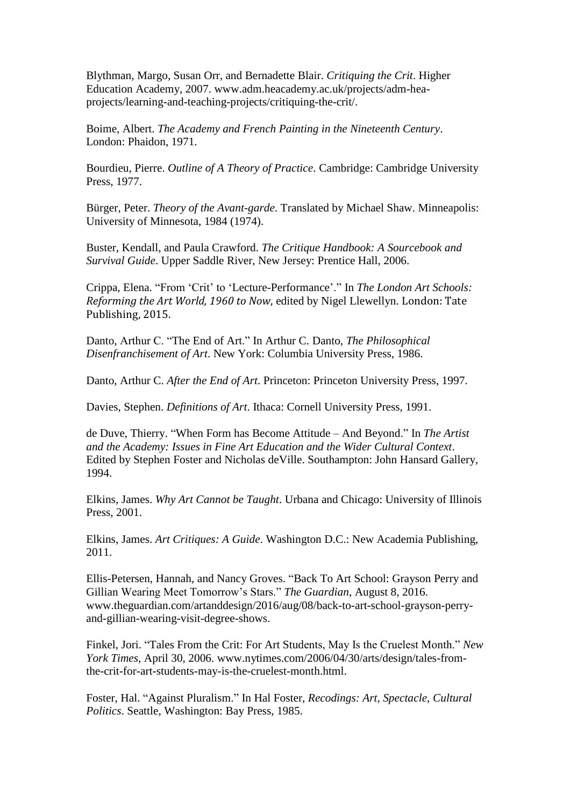Blythman, Margo, Susan Orr, and Bernadette Blair. *Critiquing the Crit*. Higher Education Academy, 2007. www.adm.heacademy.ac.uk/projects/adm-heaprojects/learning-and-teaching-projects/critiquing-the-crit/.

Boime, Albert. *The Academy and French Painting in the Nineteenth Century*. London: Phaidon, 1971.

Bourdieu, Pierre. *Outline of A Theory of Practice*. Cambridge: Cambridge University Press, 1977.

Bürger, Peter. *Theory of the Avant-garde*. Translated by Michael Shaw. Minneapolis: University of Minnesota, 1984 (1974).

Buster, Kendall, and Paula Crawford. *The Critique Handbook: A Sourcebook and Survival Guide*. Upper Saddle River, New Jersey: Prentice Hall, 2006.

Crippa, Elena. "From 'Crit' to 'Lecture-Performance'." In *The London Art Schools: Reforming the Art World, 1960 to Now*, edited by Nigel Llewellyn. London: Tate Publishing, 2015.

Danto, Arthur C. "The End of Art." In Arthur C. Danto, *The Philosophical Disenfranchisement of Art*. New York: Columbia University Press, 1986.

Danto, Arthur C. *After the End of Art*. Princeton: Princeton University Press, 1997.

Davies, Stephen. *Definitions of Art*. Ithaca: Cornell University Press, 1991.

de Duve, Thierry. "When Form has Become Attitude – And Beyond." In *The Artist and the Academy: Issues in Fine Art Education and the Wider Cultural Context*. Edited by Stephen Foster and Nicholas deVille. Southampton: John Hansard Gallery, 1994.

Elkins, James. *Why Art Cannot be Taught*. Urbana and Chicago: University of Illinois Press, 2001.

Elkins, James. *Art Critiques: A Guide*. Washington D.C.: New Academia Publishing, 2011.

Ellis-Petersen, Hannah, and Nancy Groves. "Back To Art School: Grayson Perry and Gillian Wearing Meet Tomorrow's Stars." *The Guardian*, August 8, 2016. www.theguardian.com/artanddesign/2016/aug/08/back-to-art-school-grayson-perryand-gillian-wearing-visit-degree-shows.

Finkel, Jori. "Tales From the Crit: For Art Students, May Is the Cruelest Month." *New York Times*, April 30, 2006. www.nytimes.com/2006/04/30/arts/design/tales-fromthe-crit-for-art-students-may-is-the-cruelest-month.html.

Foster, Hal. "Against Pluralism." In Hal Foster, *Recodings: Art, Spectacle, Cultural Politics*. Seattle, Washington: Bay Press, 1985.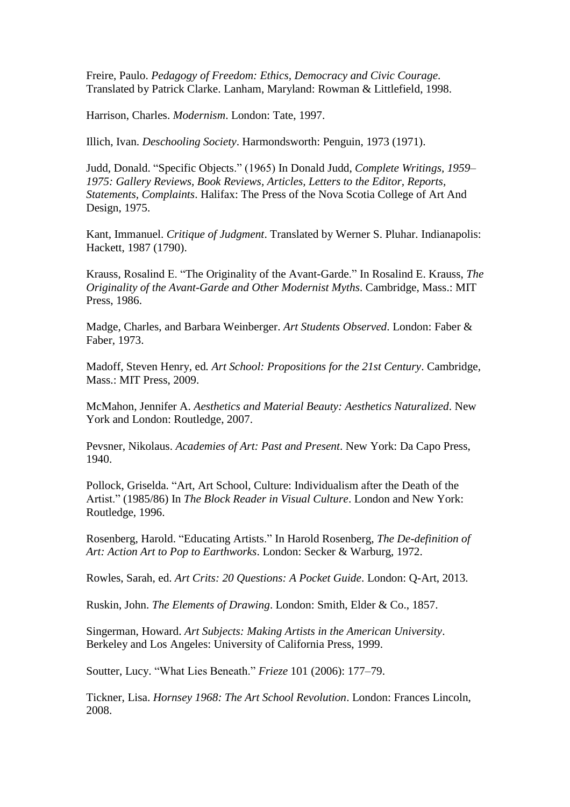Freire, Paulo. *Pedagogy of Freedom: Ethics, Democracy and Civic Courage.* Translated by Patrick Clarke. Lanham, Maryland: Rowman & Littlefield, 1998.

Harrison, Charles. *Modernism*. London: Tate, 1997.

Illich, Ivan. *Deschooling Society*. Harmondsworth: Penguin, 1973 (1971).

Judd, Donald. "Specific Objects." (1965) In Donald Judd, *Complete Writings, 1959– 1975: Gallery Reviews, Book Reviews, Articles, Letters to the Editor, Reports, Statements, Complaints*. Halifax: The Press of the Nova Scotia College of Art And Design, 1975.

Kant, Immanuel. *Critique of Judgment*. Translated by Werner S. Pluhar. Indianapolis: Hackett, 1987 (1790).

Krauss, Rosalind E. "The Originality of the Avant-Garde." In Rosalind E. Krauss, *The Originality of the Avant-Garde and Other Modernist Myths*. Cambridge, Mass.: MIT Press, 1986.

Madge, Charles, and Barbara Weinberger. *Art Students Observed*. London: Faber & Faber, 1973.

Madoff, Steven Henry, ed*. Art School: Propositions for the 21st Century*. Cambridge, Mass.: MIT Press, 2009.

McMahon, Jennifer A. *Aesthetics and Material Beauty: Aesthetics Naturalized*. New York and London: Routledge, 2007.

Pevsner, Nikolaus. *Academies of Art: Past and Present*. New York: Da Capo Press, 1940.

Pollock, Griselda. "Art, Art School, Culture: Individualism after the Death of the Artist." (1985/86) In *The Block Reader in Visual Culture*. London and New York: Routledge, 1996.

Rosenberg, Harold. "Educating Artists." In Harold Rosenberg, *The De-definition of Art: Action Art to Pop to Earthworks*. London: Secker & Warburg, 1972.

Rowles, Sarah, ed. *Art Crits: 20 Questions: A Pocket Guide*. London: Q-Art, 2013.

Ruskin, John. *The Elements of Drawing*. London: Smith, Elder & Co., 1857.

Singerman, Howard. *Art Subjects: Making Artists in the American University*. Berkeley and Los Angeles: University of California Press, 1999.

Soutter, Lucy. "What Lies Beneath." *Frieze* 101 (2006): 177–79.

Tickner, Lisa. *Hornsey 1968: The Art School Revolution*. London: Frances Lincoln, 2008.